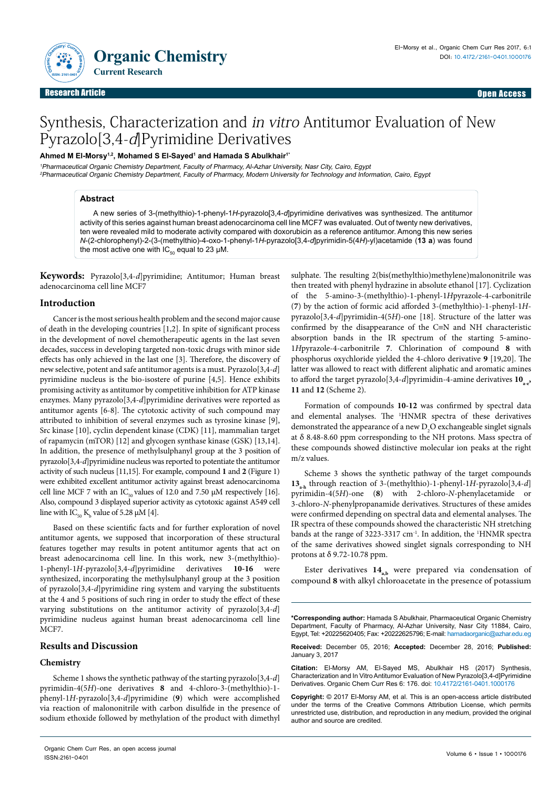

# Synthesis, Characterization and in vitro Antitumor Evaluation of New Pyrazolo[3,4-d]Pyrimidine Derivatives

# **Ahmed M El-Morsy1,2, Mohamed S El-Sayed1 and Hamada S Abulkhair1\***

<sup>1</sup>Pharmaceutical Organic Chemistry Department, Faculty of Pharmacy, Al-Azhar University, Nasr City, Cairo, Egypt <sup>2</sup>Pharmaceutical Organic Chemistry Department, Faculty of Pharmacy, Modern University for Technology and Information, Cairo, Egypt

# **Abstract**

A new series of 3-(methylthio)-1-phenyl-1*H*-pyrazolo[3,4-*d*]pyrimidine derivatives was synthesized. The antitumor activity of this series against human breast adenocarcinoma cell line MCF7 was evaluated. Out of twenty new derivatives, ten were revealed mild to moderate activity compared with doxorubicin as a reference antitumor. Among this new series *N*-(2-chlorophenyl)-2-(3-(methylthio)-4-oxo-1-phenyl-1*H*-pyrazolo[3,4-*d*]pyrimidin-5(4*H*)-yl)acetamide (**13 a**) was found the most active one with  $IC_{50}$  equal to 23 µM.

**Keywords:** Pyrazolo[3,4-*d*]pyrimidine; Antitumor; Human breast adenocarcinoma cell line MCF7

# **Introduction**

Cancer is the most serious health problem and the second major cause of death in the developing countries [1,2]. In spite of significant process in the development of novel chemotherapeutic agents in the last seven decades, success in developing targeted non-toxic drugs with minor side effects has only achieved in the last one [3]. Therefore, the discovery of new selective, potent and safe antitumor agents is a must. Pyrazolo[3,4-*d*] pyrimidine nucleus is the bio-isostere of purine [4,5]. Hence exhibits promising activity as antitumor by competitive inhibition for ATP kinase enzymes. Many pyrazolo[3,4-*d*]pyrimidine derivatives were reported as antitumor agents [6-8]. The cytotoxic activity of such compound may attributed to inhibition of several enzymes such as tyrosine kinase [9], Src kinase [10], cyclin dependent kinase (CDK) [11], mammalian target of rapamycin (mTOR) [12] and glycogen synthase kinase (GSK) [13,14]. In addition, the presence of methylsulphanyl group at the 3 position of pyrazolo[3,4-*d*]pyrimidine nucleus was reported to potentiate the antitumor activity of such nucleus [11,15]. For example, compound **1** and **2** (Figure 1) were exhibited excellent antitumor activity against breast adenocarcinoma cell line MCF 7 with an IC<sub>50</sub> values of 12.0 and 7.50  $\mu$ M respectively [16]. Also, compound 3 displayed superior activity as cytotoxic against A549 cell line with  $IC_{50} K_{b}$  value of 5.28 µM [4].

Based on these scientific facts and for further exploration of novel antitumor agents, we supposed that incorporation of these structural features together may results in potent antitumor agents that act on breast adenocarcinoma cell line. In this work, new 3-(methylthio)- 1-phenyl-1*H*-pyrazolo[3,4-*d*]pyrimidine derivatives **10-16** were synthesized, incorporating the methylsulphanyl group at the 3 position of pyrazolo[3,4-*d*]pyrimidine ring system and varying the substituents at the 4 and 5 positions of such ring in order to study the effect of these varying substitutions on the antitumor activity of pyrazolo[3,4-*d*] pyrimidine nucleus against human breast adenocarcinoma cell line MCF7.

# **Results and Discussion**

# **Chemistry**

Scheme 1 shows the synthetic pathway of the starting pyrazolo[3,4-*d*] pyrimidin-4(5*H*)-one derivatives **8** and 4-chloro-3-(methylthio)-1 phenyl-1*H*-pyrazolo[3,4-*d*]pyrimidine (**9**) which were accomplished via reaction of malononitrile with carbon disulfide in the presence of sodium ethoxide followed by methylation of the product with dimethyl sulphate. The resulting 2(bis(methylthio)methylene)malononitrile was then treated with phenyl hydrazine in absolute ethanol [17]. Cyclization of the 5-amino-3-(methylthio)-1-phenyl-1*H*pyrazole-4-carbonitrile (**7**) by the action of formic acid afforded 3-(methylthio)-1-phenyl-1*H*pyrazolo[3,4-*d*]pyrimidin-4(5*H*)-one [18]. Structure of the latter was confirmed by the disappearance of the C≡N and NH characteristic absorption bands in the IR spectrum of the starting 5-amino-1*H*pyrazole-4-carbonitrile **7**. Chlorination of compound **8** with phosphorus oxychloride yielded the 4-chloro derivative **9** [19,20]. The latter was allowed to react with different aliphatic and aromatic amines to afford the target pyrazolo<sup>[3,4-*d*]pyrimidin-4-amine derivatives  $10_{.}$ ,</sup> **11** and **12** (Scheme 2).

Formation of compounds **10-12** was confirmed by spectral data and elemental analyses. The 1 HNMR spectra of these derivatives demonstrated the appearance of a new  $D_2O$  exchangeable singlet signals at δ 8.48-8.60 ppm corresponding to the NH protons. Mass spectra of these compounds showed distinctive molecular ion peaks at the right m/z values.

Scheme 3 shows the synthetic pathway of the target compounds **13a-h** through reaction of 3-(methylthio)-1-phenyl-1*H*-pyrazolo[3,4-*d*] pyrimidin-4(5*H*)-one (**8**) with 2-chloro-*N*-phenylacetamide or 3-chloro-*N*-phenylpropanamide derivatives. Structures of these amides were confirmed depending on spectral data and elemental analyses. The IR spectra of these compounds showed the characteristic NH stretching bands at the range of 3223-3317 cm<sup>-1</sup>. In addition, the <sup>1</sup>HNMR spectra of the same derivatives showed singlet signals corresponding to NH protons at δ 9.72-10.78 ppm.

Ester derivatives  $14_{ab}$  were prepared via condensation of compound **8** with alkyl chloroacetate in the presence of potassium

**Received:** December 05, 2016; **Accepted:** December 28, 2016; **Published:**  January 3, 2017

**Citation:** El-Morsy AM, El-Sayed MS, Abulkhair HS (2017) Synthesis, Characterization and In Vitro Antitumor Evaluation of New Pyrazolo[3,4-d]Pyrimidine Derivatives. Organic Chem Curr Res 6: 176. doi: 10.4172/2161-0401.1000176

**Copyright:** © 2017 El-Morsy AM, et al. This is an open-access article distributed under the terms of the Creative Commons Attribution License, which permits unrestricted use, distribution, and reproduction in any medium, provided the original author and source are credited.

**<sup>\*</sup>Corresponding author:** Hamada S Abulkhair, Pharmaceutical Organic Chemistry Department, Faculty of Pharmacy, Al-Azhar University, Nasr City 11884, Cairo, Egypt, Tel: +20225620405; Fax: +20222625796; E-mail: hamadaorganic@azhar.edu.eg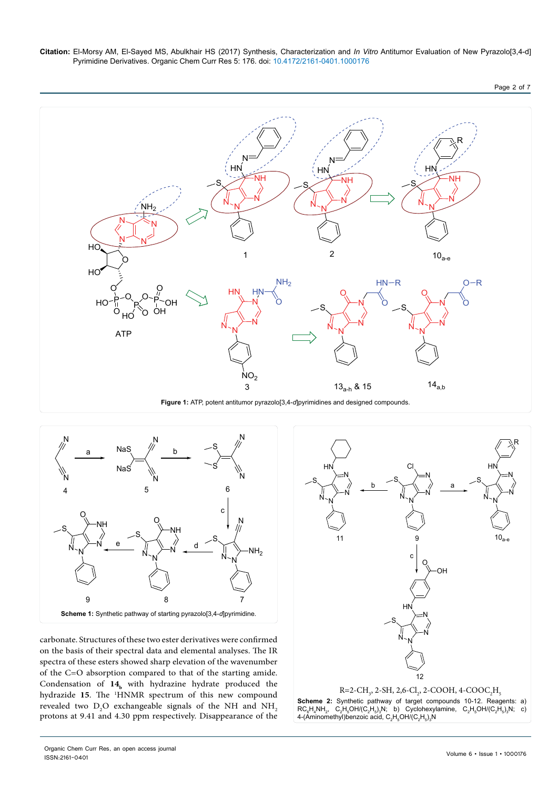

**Figure 1:** ATP, potent antitumor pyrazolo[3,4-*d*]pyrimidines and designed compounds.



carbonate. Structures of these two ester derivatives were confirmed on the basis of their spectral data and elemental analyses. The IR spectra of these esters showed sharp elevation of the wavenumber of the C=O absorption compared to that of the starting amide. Condensation of 14<sub>b</sub> with hydrazine hydrate produced the hydrazide 15. The <sup>1</sup>HNMR spectrum of this new compound revealed two  $D_2$ O exchangeable signals of the NH and  $NH_2$ protons at 9.41 and 4.30 ppm respectively. Disappearance of the



Organic Chem Curr Res, an open access journal ISSN:2161-0401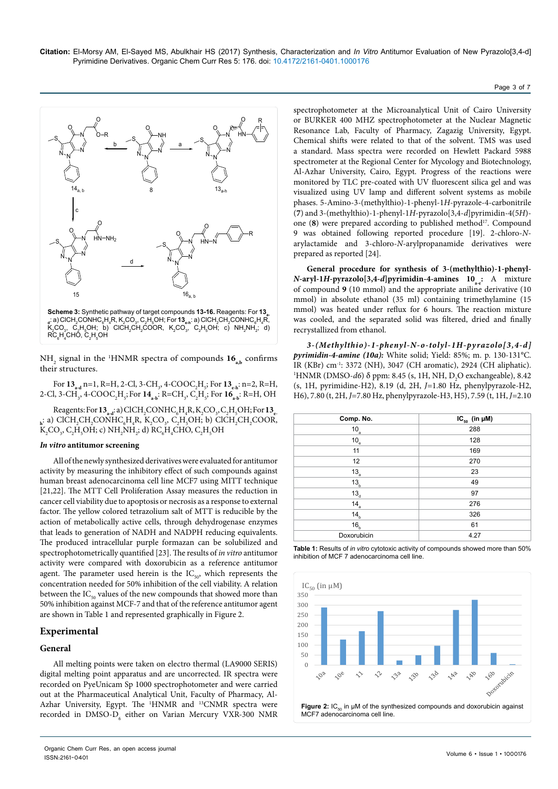

NH<sub>2</sub> signal in the <sup>1</sup>HNMR spectra of compounds  $16_{a,b}$  confirms their structures.

For  $13_{\text{a-d}}$  n=1, R=H, 2-Cl, 3-CH<sub>3</sub>, 4-COOC<sub>2</sub>H<sub>5</sub>; For  $13_{\text{e-h}}$ : n=2, R=H, 2-Cl, 3-CH<sub>3</sub>, 4-COOC<sub>2</sub>H<sub>5</sub>; For  $14_{\sf a\text{-}b}$ : R=CH<sub>3</sub>, C<sub>2</sub>H<sub>5</sub>; For  $16_{\sf a\text{-}b}$ : R=H, OH

 $\text{Reagents:}$  For  $\textbf{13}_{\text{a-d}}$ : a) ClCH<sub>2</sub>CONHC<sub>6</sub>H<sub>4</sub>R, K<sub>2</sub>CO<sub>3</sub>, C<sub>2</sub>H<sub>5</sub>OH; For  $\textbf{13}_{\text{e}}$ .  $_{\rm h}$ : a) ClCH<sub>2</sub>CH<sub>2</sub>CONHC<sub>6</sub>H<sub>4</sub>R, K<sub>2</sub>CO<sub>3</sub>, C<sub>2</sub>H<sub>5</sub>OH; b) ClCH<sub>2</sub>CH<sub>2</sub>COOR,  $K_2CO_y, C_2H_5OH$ ; c)  $NH_2NH_2$ ; d)  $RC_6H_4CHO, C_2H_5OH$ 

#### *In vitro* **antitumor screening**

All of the newly synthesized derivatives were evaluated for antitumor activity by measuring the inhibitory effect of such compounds against human breast adenocarcinoma cell line MCF7 using MITT technique [21,22]. The MTT Cell Proliferation Assay measures the reduction in cancer cell viability due to apoptosis or necrosis as a response to external factor. The yellow colored tetrazolium salt of MTT is reducible by the action of metabolically active cells, through dehydrogenase enzymes that leads to generation of NADH and NADPH reducing equivalents. The produced intracellular purple formazan can be solubilized and spectrophotometrically quantified [23]. The results of *in vitro* antitumor activity were compared with doxorubicin as a reference antitumor agent. The parameter used herein is the  $IC_{50}$ , which represents the concentration needed for 50% inhibition of the cell viability. A relation between the  $IC_{50}$  values of the new compounds that showed more than 50% inhibition against MCF-7 and that of the reference antitumor agent are shown in Table 1 and represented graphically in Figure 2.

### **Experimental**

## **General**

All melting points were taken on electro thermal (LA9000 SERIS) digital melting point apparatus and are uncorrected. IR spectra were recorded on PyeUnicam Sp 1000 spectrophotometer and were carried out at the Pharmaceutical Analytical Unit, Faculty of Pharmacy, Al-Azhar University, Egypt. The <sup>1</sup>HNMR and <sup>13</sup>CNMR spectra were recorded in  $\text{DMSO-D}_6$  either on Varian Mercury VXR-300 NMR spectrophotometer at the Microanalytical Unit of Cairo University or BURKER 400 MHZ spectrophotometer at the Nuclear Magnetic Resonance Lab, Faculty of Pharmacy, Zagazig University, Egypt. Chemical shifts were related to that of the solvent. TMS was used a standard. Mass spectra were recorded on Hewlett Packard 5988 spectrometer at the Regional Center for Mycology and Biotechnology, Al-Azhar University, Cairo, Egypt. Progress of the reactions were monitored by TLC pre-coated with UV fluorescent silica gel and was visualized using UV lamp and different solvent systems as mobile phases. 5-Amino-3-(methylthio)-1-phenyl-1*H*-pyrazole-4-carbonitrile (**7**) and 3-(methylthio)-1-phenyl-1*H*-pyrazolo[3,4-*d*]pyrimidin-4(5*H*) one (8) were prepared according to published method<sup>17</sup>. Compound 9 was obtained following reported procedure [19]. 2-chloro-*N*arylactamide and 3-chloro-*N*-arylpropanamide derivatives were prepared as reported [24].

**General procedure for synthesis of 3-(methylthio)-1-phenyl***-* $N$ **-aryl-1***H***-pyrazolo[3,4-***d***]pyrimidin-4-amines 10<sub>a-e</sub>: A mixture** of compound **9** (10 mmol) and the appropriate aniline derivative (10 mmol) in absolute ethanol (35 ml) containing trimethylamine (15 mmol) was heated under reflux for 6 hours. The reaction mixture was cooled, and the separated solid was filtered, dried and finally recrystallized from ethanol.

*3-(Methylthio)-1-phenyl-N-o-tolyl-1H-pyrazolo[3,4-d] pyrimidin-4-amine (10a):* White solid; Yield: 85%; m. p. 130-131°C. IR (KBr) cm-1: 3372 (NH), 3047 (CH aromatic), 2924 (CH aliphatic). 1 HNMR (DMSO-*d*6) δ ppm: 8.45 (s, 1H, NH, D<sub>2</sub>O exchangeable), 8.42 (s, 1H, pyrimidine-H2), 8.19 (d, 2H, *J=*1.80 Hz, phenylpyrazole-H2, H6), 7.80 (t, 2H, *J=*7.80 Hz, phenylpyrazole-H3, H5), 7.59 (t, 1H, *J=*2.10

| Comp. No.       | $IC_{50}$ (in $µM$ ) |
|-----------------|----------------------|
| $10_a$          | 288                  |
| $10_e$          | 128                  |
| 11              | 169                  |
| 12              | 270                  |
| $13_a$          | 23                   |
| 13 <sub>b</sub> | 49                   |
| $13_a$          | 97                   |
| $14_a$          | 276                  |
| 14 <sub>b</sub> | 326                  |
| 16 <sub>b</sub> | 61                   |
| Doxorubicin     | 4.27                 |





#### Page 3 of 7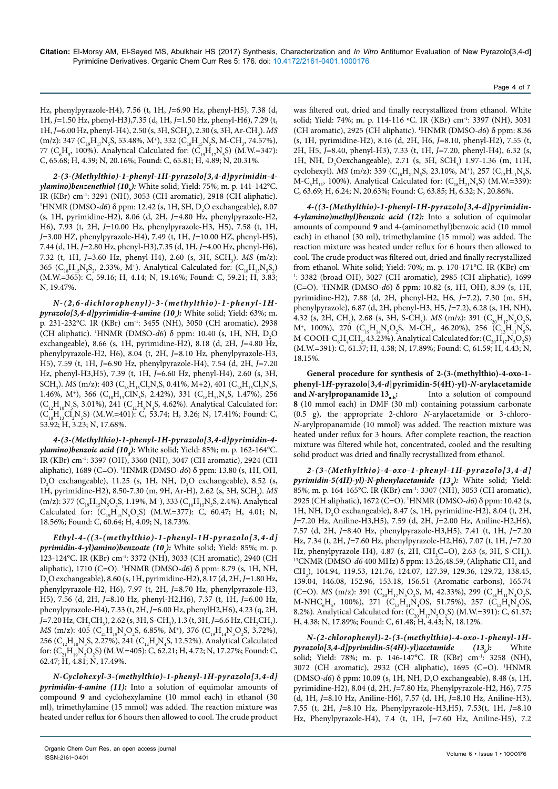Hz, phenylpyrazole-H4), 7.56 (t, 1H, *J=*6.90 Hz, phenyl-H5), 7.38 (d, 1H, *J=*1.50 Hz, phenyl-H3),7.35 (d, 1H, *J=*1.50 Hz, phenyl-H6), 7.29 (t, 1H, *J*=6.00 Hz, phenyl-H4), 2.50 (s, 3H, SCH<sub>3</sub>), 2.30 (s, 3H, Ar-CH<sub>3</sub>). *MS*  $(m/z): 347$  ( $C_{19}H_{17}N_5S$ , 53.48%, M<sup>+</sup>), 332 ( $C_{18}H_{15}N_5S$ , M-CH<sub>3</sub>, 74.57%), 77 ( $C_6H_5$ , 100%). Analytical Calculated for: ( $C_{19}H_{17}N_5S$ ) (M.W.=347): C, 65.68; H, 4.39; N, 20.16%; Found: C, 65.81; H, 4.89; N, 20.31%.

*2-(3-(Methylthio)-1-phenyl-1H-pyrazolo[3,4-d]pyrimidin-4 ylamino)benzenethiol (10b ):* White solid; Yield: 75%; m. p. 141-142°C. IR (KBr) cm-1: 3291 (NH), 3053 (CH aromatic), 2918 (CH aliphatic). 1 HNMR (DMSO-*d*6) δ ppm: 12.42 (s, 1H, SH, D<sub>2</sub>O exchangeable), 8.07 (s, 1H, pyrimidine-H2), 8.06 (d, 2H, *J=*4.80 Hz, phenylpyrazole-H2, H6), 7.93 (t, 2H, *J=*10.00 Hz, phenylpyrazole-H3, H5), 7.58 (t, 1H, *J=*3.00 HZ, phenylpyrazole-H4), 7.49 (t, 1H, *J=*10.00 HZ, phenyl-H5), 7.44 (d, 1H, *J=*2.80 Hz, phenyl-H3),7.35 (d, 1H, *J=*4.00 Hz, phenyl-H6), 7.32 (t, 1H, J=3.60 Hz, phenyl-H4), 2.60 (s, 3H, SCH<sub>3</sub>). *MS* (m/z): 365 ( $C_{18}H_{15}N_{5}S_2$ , 2.33%, M<sup>+</sup>). Analytical Calculated for:  $(C_{18}H_{15}N_{5}S_2)$ (M.W.=365): C, 59.16; H, 4.14; N, 19.16%; Found: C, 59.21; H, 3.83; N, 19.47%.

*N-(2,6-dichlorophenyl)-3-(methylthio)-1-phenyl-1Hpyrazolo[3,4-d]pyrimidin-4-amine (10<sub>c</sub>): White solid; Yield: 63%; m.* p. 231-232°C. IR (KBr) cm-1: 3455 (NH), 3050 (CH aromatic), 2938 (CH aliphatic). <sup>1</sup>HNMR (DMSO-*d*6) δ ppm: 10.40 (s, 1H, NH, D<sub>2</sub>O exchangeable), 8.66 (s, 1H, pyrimidine-H2), 8.18 (d, 2H, *J=*4.80 Hz, phenylpyrazole-H2, H6), 8.04 (t, 2H, *J=*8.10 Hz, phenylpyrazole-H3, H5), 7.59 (t, 1H, *J=*6.90 Hz, phenylpyrazole-H4), 7.54 (d, 2H, *J=*7.20 Hz, phenyl-H3,H5), 7.39 (t, 1H, *J=*6.60 Hz, phenyl-H4), 2.60 (s, 3H,  $SCH_3$ ). *MS* (m/z): 403 (C<sub>18</sub>H<sub>13</sub>Cl<sub>2</sub>N<sub>5</sub>S, 0.41%, M+2), 401 (C<sub>18</sub>H<sub>13</sub>Cl<sub>2</sub>N<sub>5</sub>S, 1.46%, M<sup>+</sup>), 366 ( $C_{18}H_{13}CN_S$ , 2.42%), 331 ( $C_{18}H_{13}N_S$ , 1.47%), 256  $(C_{12}H_{10}N_{5}S, 3.01\%), 241 (C_{12}H_{9}N_{4}S, 4.62\%).$  Analytical Calculated for:  $(C_{18}H_{13}Cl_2N_sS)$  (M.W.=401): C, 53.74; H, 3.26; N, 17.41%; Found: C, 53.92; H, 3.23; N, 17.68%.

*4-(3-(Methylthio)-1-phenyl-1H-pyrazolo[3,4-d]pyrimidin-4 ylamino)benzoic acid (10<sub>d</sub>):* White solid; Yield: 85%; m. p. 162-164°C. IR (KBr) cm-1: 3397 (OH), 3360 (NH), 3047 (CH aromatic), 2924 (CH aliphatic), 1689 (C=O). <sup>1</sup>HNMR (DMSO-*d*6) δ ppm: 13.80 (s, 1H, OH,  $D_2O$  exchangeable), 11.25 (s, 1H, NH,  $D_2O$  exchangeable), 8.52 (s, 1H, pyrimidine-H2), 8.50-7.30 (m, 9H, Ar-H), 2.62 (s, 3H, SCH<sub>3</sub>). *MS* (m/z): 377 ( $C_{19}H_{15}N_{5}O_{2}S$ , 1.19%, M<sup>+</sup>), 333 ( $C_{18}H_{15}N_{5}S$ , 2.4%). Analytical Calculated for:  $(C_{19}H_{15}N_5O_2S)$  (M.W.=377): C, 60.47; H, 4.01; N, 18.56%; Found: C, 60.64; H, 4.09; N, 18.73%.

*Ethyl-4-((3-(methylthio)-1-phenyl-1H-pyrazolo[3,4-d] pyrimidin-4-yl)amino)benzoate (10<sub>e</sub>): White solid; Yield: 85%; m. p.* 123-124°C. IR (KBr) cm-1: 3372 (NH), 3033 (CH aromatic), 2940 (CH aliphatic), 1710 (C=O). 1 HNMR (DMSO-*d6*) δ ppm: 8.79 (s, 1H, NH, D2 O exchangeable), 8.60 (s, 1H, pyrimidine-H2), 8.17 (d, 2H, *J=*1.80 Hz, phenylpyrazole-H2, H6), 7.97 (t, 2H, *J=*8.70 Hz, phenylpyrazole-H3, H5), 7.56 (d, 2H, *J=*8.10 Hz, phenyl-H2,H6), 7.37 (t, 1H, *J=*6.00 Hz, phenylpyrazole-H4), 7.33 (t, 2H, *J=*6.00 Hz, phenylH2,H6), 4.23 (q, 2H, *J*=7.20 Hz, CH<sub>2</sub>CH<sub>3</sub>), 2.62 (s, 3H, S-CH<sub>3</sub>), 1.3 (t, 3H, *J*=6.6 Hz, CH<sub>2</sub>CH<sub>3</sub>).  $MS \text{ (m/z): } 405 \text{ (C}_{21}H_{19}N_5O_2S, 6.85\%, M^+), 376 \text{ (C}_{19}H_{14}N_5O_2S, 3.72\%),$ 256 ( $\rm C_{12}H_{10}N_{5}S$ , 2.27%), 241 ( $\rm C_{12}H_{9}N_{4}S$ , 12.52%). Analytical Calculated for:  $(C_{21}H_{19}N_5O_2S)$  (M.W.=405): C, 62.21; H, 4.72; N, 17.27%; Found: C, 62.47; H, 4.81; N, 17.49%.

*N-Cyclohexyl-3-(methylthio)-1-phenyl-1H-pyrazolo[3,4-d] pyrimidin-4-amine (11):* Into a solution of equimolar amounts of compound **9** and cyclohexylamine (10 mmol each) in ethanol (30 ml), trimethylamine (15 mmol) was added. The reaction mixture was heated under reflux for 6 hours then allowed to cool. The crude product

was filtered out, dried and finally recrystallized from ethanol. White solid; Yield: 74%; m. p. 114-116 ºC. IR (KBr) cm-1: 3397 (NH), 3031 (CH aromatic), 2925 (CH aliphatic). 1 HNMR (DMSO-*d6*) δ ppm: 8.36 (s, 1H, pyrimidine-H2), 8.16 (d, 2H, H6, *J*=8.10, phenyl-H2), 7.55 (t, 2H, H5, *J*=8.40, phenyl-H3), 7.33 (t, 1H, *J=*7.20, phenyl-H4), 6.32 (s, 1H, NH, D<sub>2</sub>Oexchangeable), 2.71 (s, 3H, SCH<sub>3</sub>) 1.97-1.36 (m, 11H, cyclohexyl). *MS* (m/z): 339 (C<sub>18</sub>H<sub>21</sub>N<sub>5</sub>S, 23.10%, M<sup>+</sup>), 257 (C<sub>12</sub>H<sub>11</sub>N<sub>5</sub>S,  $M - C_6H_{11}$ , 100%). Analytical Calculated for:  $(C_{18}H_{21}N_5S)$  (M.W.=339): C, 63.69; H, 6.24; N, 20.63%; Found: C, 63.85; H, 6.32; N, 20.86%.

*4-((3-(Methylthio)-1-phenyl-1H-pyrazolo[3,4-d]pyrimidin-4-ylamino)methyl)benzoic acid (12):* Into a solution of equimolar amounts of compound **9** and 4-(aminomethyl)benzoic acid (10 mmol each) in ethanol (30 ml), trimethylamine (15 mmol) was added. The reaction mixture was heated under reflux for 6 hours then allowed to cool. The crude product was filtered out, dried and finally recrystallized from ethanol. White solid; Yield: 70%; m. p. 170-171°C. IR (KBr) cm-1 : 3382 (broad OH), 3027 (CH aromatic), 2985 (CH aliphatic), 1699 (C=O). 1 HNMR (DMSO-*d6*) δ ppm: 10.82 (s, 1H, OH), 8.39 (s, 1H, pyrimidine-H2), 7.88 (d, 2H, phenyl-H2, H6, *J=*7.2), 7.30 (m, 5H, phenylpyrazole), 6.87 (d, 2H, phenyl-H3, H5, *J=*7.2), 6.28 (s, 1H, NH), 4.32 (s, 2H, CH<sub>2</sub>), 2.68 (s, 3H, S-CH<sub>3</sub>). *MS* (m/z): 391 (C<sub>20</sub>H<sub>17</sub>N<sub>5</sub>O<sub>2</sub>S,  $M^+$ , 100%), 270 ( $C_{19}H_{14}N_5O_2S$ , M-CH<sub>3</sub>, 46.20%), 256 ( $C_{12}H_{11}N_5S$ , M-COOH-C<sub>6</sub>H<sub>4</sub>CH<sub>2</sub>, 43.23%). Analytical Calculated for:  $(C_{20}H_{17}N_5O_2S)$ (M.W.=391): C, 61.37; H, 4.38; N, 17.89%; Found: C, 61.59; H, 4.43; N, 18.15%.

**General procedure for synthesis of 2-(3-(methylthio)-4-oxo-1 phenyl-1***H***-pyrazolo[3,4-***d***]pyrimidin-5(4H)-yl)-***N***-arylacetamide and** *N***-arylpropanamide 13<sub>a-h</sub>: Into a solution of compound 8** (10 mmol each) in DMF (30 ml) containing potassium carbonate (0.5 g), the appropriate 2-chloro *N*-arylacetamide or 3-chloro-*N*-arylpropanamide (10 mmol) was added. The reaction mixture was heated under reflux for 3 hours. After complete reaction, the reaction mixture was filtered while hot, concentrated, cooled and the resulting solid product was dried and finally recrystallized from ethanol.

*2-(3-(Methylthio)-4-oxo-1-phenyl-1H-pyrazolo[3,4-d]* pyrimidin-5(4H)-yl)-N-phenylacetamide (13<sub>a</sub>): White solid; Yield: 85%; m. p. 164-165°C. IR (KBr) cm-1: 3307 (NH), 3053 (CH aromatic), 2925 (CH aliphatic), 1672 (C=O). 1 HNMR (DMSO-*d6*) δ ppm: 10.42 (s, 1H, NH, D<sub>2</sub>O exchangeable), 8.47 (s, 1H, pyrimidine-H2), 8.04 (t, 2H, *J=*7.20 Hz, Aniline-H3,H5), 7.59 (d, 2H, *J=*2.00 Hz, Aniline-H2,H6), 7.57 (d, 2H, *J=*8.40 Hz, phenylpyrazole-H3,H5), 7.41 (t, 1H, *J=*7.20 Hz, 7.34 (t, 2H, *J=*7.60 Hz, phenylpyrazole-H2,H6), 7.07 (t, 1H, *J=*7.20 Hz, phenylpyrazole-H4), 4.87 (s, 2H, CH<sub>2</sub>C=O), 2.63 (s, 3H, S-CH<sub>3</sub> Hz, phenylpyrazole-H4), 4.87 (s, 2H, CH<sub>2</sub>C=O), 2.63 (s, 3H, S-CH<sub>3</sub>).<br><sup>13</sup>CNMR (DMSO*-d6* 400 MHz) δ ppm: 13.26,48.59, (Aliphatic CH<sub>3</sub> and CH<sub>2</sub>), 104.94, 119.53, 121.76, 124.07, 127.39, 129.36, 129.72, 138.45, 139.04, 146.08, 152.96, 153.18, 156.51 (Aromatic carbons), 165.74 (C=O). *MS* (m/z): 391 ( $C_{20}H_{17}N_5O_2S$ , M, 42.33%), 299 ( $C_{14}H_{11}N_4O_2S$ ,  $M-NHC<sub>6</sub>H<sub>5</sub>$ , 100%), 271 ( $C<sub>13</sub>H<sub>11</sub>N<sub>4</sub>OS$ , 51.75%), 257 ( $C<sub>12</sub>H<sub>9</sub>N<sub>4</sub>OS$ , 8.2%). Analytical Calculated for:  $(C_{20}H_{17}N_{5}O_{2}S)$  (M.W.=391): C, 61.37; H, 4.38; N, 17.89%; Found: C, 61.48; H, 4.43; N, 18.12%.

*N-(2-chlorophenyl)-2-(3-(methylthio)-4-oxo-1-phenyl-1Hpyrazolo*[3,4-d]pyrimidin-5(4H)-yl)acetamide (13<sub>b</sub>): *):* White solid; Yield: 78%; m. p. 146-147°C. IR (KBr) cm-1: 3258 (NH), 3072 (CH aromatic), 2932 (CH aliphatic), 1695 (C=O). 1 HNMR (DMSO-*d*6) δ ppm: 10.09 (s, 1H, NH, D<sub>2</sub>O exchangeable), 8.48 (s, 1H, pyrimidine-H2), 8.04 (d, 2H, *J=*7.80 Hz, Phenylpyrazole-H2, H6), 7.75 (d, 1H, *J=*8.10 Hz, Aniline-H6), 7.57 (d, 1H, *J=*8.10 Hz, Aniline-H3), 7.55 (t, 2H, *J=*8.10 Hz, Phenylpyrazole-H3,H5), 7.53(t, 1H, *J=*8.10 Hz, Phenylpyrazole-H4), 7.4 (t, 1H, J*=*7.60 Hz, Aniline-H5), 7.2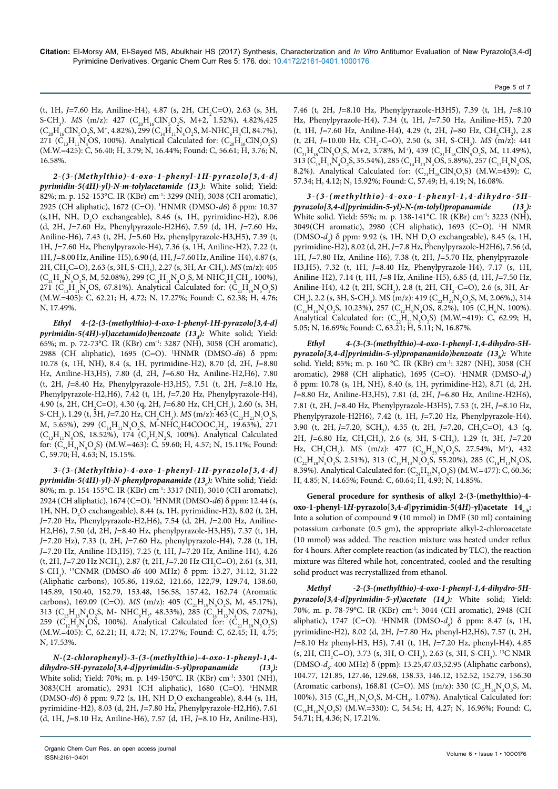(t, 1H, *J*=7.60 Hz, Aniline-H4), 4.87 (s, 2H, CH<sub>2</sub>C=O), 2.63 (s, 3H, S-CH<sub>3</sub>). *MS* (m/z): 427 (C<sub>20</sub>H<sub>16</sub>ClN<sub>5</sub>O<sub>2</sub>S, M+2, 1.52%), 4.82%,425  $(C_{20}H_{16}CN_5O_2S, M^+, 4.82\%), 299 (C_{14}H_{11}N_4O_2S, M-NHC_6H_4Cl, 84.7\%),$ 271 ( $C_{13}H_{11}N_4OS$ , 100%). Analytical Calculated for:  $(C_{20}H_{16}CIN_5O_2S)$ (M.W.=425): C, 56.40; H, 3.79; N, 16.44%; Found: C, 56.61; H, 3.76; N, 16.58%.

*2-(3-(Methylthio)-4-oxo-1-phenyl-1H-pyrazolo[3,4-d]* pyrimidin-5(4H)-yl)-N-m-tolylacetamide (13<sub>c</sub>): White solid; Yield: 82%; m. p. 152-153°C. IR (KBr) cm-1: 3299 (NH), 3038 (CH aromatic), 2925 (CH aliphatic), 1672 (C=O). 1 HNMR (DMSO-*d6*) δ ppm: 10.37  $(s, 1H, NH, D<sub>2</sub>O$  exchangeable), 8.46  $(s, 1H, pyrimidine-H2)$ , 8.06 (d, 2H, *J=*7.60 Hz, Phenylpyrazole-H2H6), 7.59 (d, 1H, *J=*7.60 Hz, Aniline-H6), 7.43 (t, 2H, *J=*5.60 Hz, phenylpyrazole-H3,H5), 7.39 (t, 1H, *J=*7.60 Hz, Phenylpyrazole-H4), 7.36 (s, 1H, Aniline-H2), 7.22 (t, 1H, *J=*8.00 Hz, Aniline-H5), 6.90 (d, 1H, *J=*7.60 Hz, Aniline-H4), 4.87 (s, 2H, CH<sub>2</sub>C=O), 2.63 (s, 3H, S-CH<sub>3</sub>), 2.27 (s, 3H, Ar-CH<sub>3</sub>). *MS* (m/z): 405  $(C_{21}H_{19}N_{5}O_{2}S, M, 52.08\%), 299 (C_{14}H_{11}N_{4}O_{2}S, M-NHC_{6}H_{4}CH_{3}, 100\%),$ 271 ( $C_{13}H_{11}N_4OS$ , 67.81%). Analytical Calculated for:  $(C_{21}H_{19}N_5O_2S)$ (M.W.=405): C, 62.21; H, 4.72; N, 17.27%; Found: C, 62.38; H, 4.76; N, 17.49%.

*Ethyl 4-(2-(3-(methylthio)-4-oxo-1-phenyl-1H-pyrazolo[3,4-d] pyrimidin-5(4H)-yl)acetamido)benzoate (13d ):* White solid; Yield: 65%; m. p. 72-73°C. IR (KBr) cm-1: 3287 (NH), 3058 (CH aromatic), 2988 (CH aliphatic), 1695 (C=O). 1 HNMR (DMSO-*d6*) δ ppm: 10.78 (s, 1H, NH), 8.4 (s, 1H, pyrimidine-H2), 8.70 (d, 2H, *J=*8.80 Hz, Aniline-H3,H5), 7.80 (d, 2H, *J=*6.80 Hz, Aniline-H2,H6), 7.80 (t, 2H, *J=*8.40 Hz, Phenylpyrazole-H3,H5), 7.51 (t, 2H, *J=*8.10 Hz, Phenylpyrazole-H2,H6), 7.42 (t, 1H, *J=*7.20 Hz, Phenylpyrazole-H4), 4.90 (s, 2H, CH<sub>2</sub>C=O), 4.30 (q, 2H, *J*=6.80 Hz, CH<sub>2</sub>CH<sub>3</sub>), 2.60 (s, 3H, S-CH<sub>3</sub>), 1.29 (t, 3H, *J*=7.20 Hz, CH<sub>2</sub>CH<sub>3</sub>). *MS* (m/z): 463 (C<sub>23</sub>H<sub>21</sub>N<sub>5</sub>O<sub>4</sub>S, M, 5.65%), 299 ( $C_{14}H_{11}N_4O_2S$ , M-NHC<sub>6</sub>H4COOC<sub>2</sub>H<sub>5</sub>, 19.63%), 271  $(C_{13}H_{11}N_{4}OS, 18.52\%)$ , 174  $(C_{9}H_{5}N_{2}S, 100\%)$ . Analytical Calculated for:  $(C_{23}H_{21}N_5O_4S)$  (M.W.=463): C, 59.60; H, 4.57; N, 15.11%; Found: C, 59.70; H, 4.63; N, 15.15%.

*3-(3-(Methylthio)-4-oxo-1-phenyl-1H-pyrazolo[3,4-d]* pyrimidin-5(4H)-yl)-N-phenylpropanamide (13<sub>e</sub>): White solid; Yield: 80%; m. p. 154-155°C. IR (KBr) cm-1: 3317 (NH), 3010 (CH aromatic), 2924 (CH aliphatic), 1674 (C=O). 1 HNMR (DMSO-*d6*) δ ppm: 12.44 (s, 1H, NH,  $D_2O$  exchangeable), 8.44 (s, 1H, pyrimidine-H2), 8.02 (t, 2H, *J=*7.20 Hz, Phenylpyrazole-H2,H6), 7.54 (d, 2H, *J=*2.00 Hz, Aniline-H2,H6), 7.50 (d, 2H, *J=*8.40 Hz, phenylpyrazole-H3,H5), 7.37 (t, 1H, *J=*7.20 Hz), 7.33 (t, 2H, *J=*7.60 Hz, phenylpyrazole-H4), 7.28 (t, 1H, *J=*7.20 Hz, Aniline-H3,H5), 7.25 (t, 1H, *J=*7.20 Hz, Aniline-H4), 4.26 (t, 2H, *J*=7.20 Hz NCH<sub>2</sub>), 2.87 (t, 2H, *J*=7.20 Hz CH<sub>2</sub>C=O), 2.61 (s, 3H, S-CH3 ). 13CNMR (DMSO-*d6* 400 MHz) δ ppm: 13.27, 31.12, 31.22 (Aliphatic carbons), 105.86, 119.62, 121.66, 122,79, 129.74, 138.60, 145.89, 150.40, 152.79, 153.48, 156.58, 157.42, 162.74 (Aromatic carbons), 169.09 (C=O). *MS* (m/z): 405 (C<sub>21</sub>H<sub>19</sub>N<sub>5</sub>O<sub>2</sub>S, M, 45.17%), 313 ( $C_{15}H_{13}N_4O_2S$ , M-NHC<sub>6</sub>H<sub>5</sub>, 48.33%), 285 ( $C_{14}H_{13}N_4OS$ , 7.07%), 259 ( $C_{12}H_{9}N_{4}OS$ , 100%). Analytical Calculated for:  $(C_{21}H_{19}N_{5}O_{2}S)$ (M.W.=405): C, 62.21; H, 4.72; N, 17.27%; Found: C, 62.45; H, 4.75; N, 17.53%.

*N-(2-chlorophenyl)-3-(3-(methylthio)-4-oxo-1-phenyl-1,4 dihydro-5H-pyrazolo[3,4-d]pyrimidin-5-yl)propanamide (13f ):* White solid; Yield: 70%; m. p. 149-150°C. IR (KBr) cm-1: 3301 (NH), 3083(CH aromatic), 2931 (CH aliphatic), 1680 (C=O). 1 HNMR (DMSO-*d*6) δ ppm: 9.72 (s, 1H, NH D<sub>2</sub>O exchangeable), 8.44 (s, 1H, pyrimidine-H2), 8.03 (d, 2H, *J=*7.80 Hz, Phenylpyrazole-H2,H6), 7.61 (d, 1H, *J=*8.10 Hz, Aniline-H6), 7.57 (d, 1H, *J=*8.10 Hz, Aniline-H3),

Organic Chem Curr Res, an open access journal ISSN:2161-0401

7.46 (t, 2H, *J=*8.10 Hz, Phenylpyrazole-H3H5), 7.39 (t, 1H, *J=*8.10 Hz, Phenylpyrazole-H4), 7.34 (t, 1H, *J=*7.50 Hz, Aniline-H5), 7.20 (t, 1H, *J*=7.60 Hz, Aniline-H4), 4.29 (t, 2H, *J*=80 Hz, CH<sub>2</sub>CH<sub>2</sub>), 2.8 (t, 2H, J=10.00 Hz, CH<sub>2</sub>-C=O), 2.50 (s, 3H, S-CH<sub>3</sub>). *MS* (m/z): 441  $(C_{21}H_{18}CN_{5}O_{2}S, M+2, 3.78\%, M^{+}), 439(C_{21}H_{18}CN_{5}O_{2}S, M, 11.49\%),$ 313 ( $C_{15}H_{13}N_4O_2S$ , 35.54%), 285 ( $C_{14}H_{13}N_4OS$ , 5.89%), 257 ( $C_{12}H_9N_4OS$ , 8.2%). Analytical Calculated for:  $(C_{21}H_{18}CIN_{5}O_{2}S)$  (M.W.=439): C, 57.34; H, 4.12; N, 15.92%; Found: C, 57.49; H, 4.19; N, 16.08%.

*3-(3-(methylthio)-4-oxo-1-phenyl-1,4-dihydro-5Hpyrazolo[3,4-d]pyrimidin-5-yl)-N-(m-tolyl)propanamide (13g*  $(13)$ : White solid. Yield: 55%; m. p. 138-141°C. IR (KBr) cm-1: 3223 (NH), 3049(CH aromatic), 2980 (CH aliphatic), 1693 (C=O). 1 H NMR (DMSO-*d<sub>6</sub>*)</sub> δ ppm: 9.92 (s, 1H, NH D<sub>2</sub>O exchangeable), 8.45 (s, 1H, pyrimidine-H2), 8.02 (d, 2H, *J=*7.8 Hz, Phenylpyrazole-H2H6), 7.56 (d, 1H, *J=*7.80 Hz, Aniline-H6), 7.38 (t, 2H, *J=*5.70 Hz, phenylpyrazole-H3,H5), 7.32 (t, 1H, *J=*8.40 Hz, Phenylpyrazole-H4), 7.17 (s, 1H, Aniline-H2), 7.14 (t, 1H, *J=*8 Hz, Aniline-H5), 6.85 (d, 1H, *J=*7.50 Hz, Aniline-H4), 4.2 (t, 2H, SCH<sub>2</sub>), 2.8 (t, 2H, CH<sub>2</sub>-C=O), 2.6 (s, 3H, Ar-CH<sub>3</sub>), 2.2 (s, 3H, S-CH<sub>3</sub>). MS (m/z): 419 (C<sub>22</sub>H<sub>21</sub>N<sub>5</sub>O<sub>2</sub>S, M, 2.06%), 314  $(C_{15}H_{14}N_4O_2S, 10.23\%)$ , 257  $(C_{12}H_9N_4OS, 8.2\%)$ , 105  $(C_7H_6N, 100\%).$ Analytical Calculated for:  $(C_{22}H_{21}N_5O_2S)$  (M.W.=419): C, 62.99; H, 5.05; N, 16.69%; Found: C, 63.21; H, 5.11; N, 16.87%.

*Ethyl 4-(3-(3-(methylthio)-4-oxo-1-phenyl-1,4-dihydro-5Hpyrazolo[3,4-d]pyrimidin-5-yl)propanamido)benzoate (13h ):* White solid. Yield; 85%; m. p. 160 °C. IR (KBr) cm-1: 3287 (NH), 3058 (CH aromatic), 2988 (CH aliphatic), 1695 (C=O). <sup>1</sup>HNMR (DMSO- $d_e$ ) δ ppm: 10.78 (s, 1H, NH), 8.40 (s, 1H, pyrimidine-H2), 8.71 (d, 2H, *J=*8.80 Hz, Aniline-H3,H5), 7.81 (d, 2H, *J=*6.80 Hz, Aniline-H2H6), 7.81 (t, 2H, *J=*8.40 Hz, Phenylpyrazole-H3H5), 7.53 (t, 2H, *J=*8.10 Hz, Phenylpyrazole-H2H6), 7.42 (t, 1H, *J=*7.20 Hz, Phenylpyrazole-H4), 3.90 (t, 2H, *J*=7.20, SCH<sub>2</sub>), 4.35 (t, 2H, *J*=7.20, CH<sub>2</sub>C=O), 4.3 (q, 2H, *J*=6.80 Hz, CH<sub>2</sub>CH<sub>3</sub>), 2.6 (s, 3H, S-CH<sub>3</sub>), 1.29 (t, 3H, *J*=7.20 Hz, CH<sub>2</sub>CH<sub>3</sub>). MS (m/z): 477 (C<sub>24</sub>H<sub>23</sub>N<sub>5</sub>O<sub>4</sub>S, 27.54%, M<sup>+</sup>), 432  $(C_{22}H_{18}N_{5}O_{3}S, 2.51\%), 313 (C_{15}H_{13}N_{4}O_{2}S, 55.20\%), 285 (C_{14}H_{13}N_{4}OS,$ 8.39%). Analytical Calculated for:  $(C_{24}H_{23}N_{5}O_{4}S)$  (M.W.=477): C, 60.36; H, 4.85; N, 14.65%; Found: C, 60.64; H, 4.93; N, 14.85%.

**General procedure for synthesis of alkyl 2-(3-(methylthio)-4 oxo-1-phenyl-1***H***-pyrazolo[3,4-***d***]pyrimidin-5(4***H***)-yl)acetate 14<sub>a-b</sub>:** Into a solution of compound **9** (10 mmol) in DMF (30 ml) containing potassium carbonate (0.5 gm), the appropriate alkyl-2-chloroacetate (10 mmol) was added. The reaction mixture was heated under reflux for 4 hours. After complete reaction (as indicated by TLC), the reaction mixture was filtered while hot, concentrated, cooled and the resulting solid product was recrystallized from ethanol.

*Methyl -2-(3-(methylthio)-4-oxo-1-phenyl-1,4-dihydro-5Hpyrazolo[3,4-d]pyrimidin-5-yl)acetate (14a ):* White solid; Yield: 70%; m. p. 78-79°C. IR (KBr) cm-1: 3044 (CH aromatic), 2948 (CH aliphatic), 1747 (C=O). <sup>1</sup>HNMR (DMSO-*d<sub>6</sub>*) δ ppm: 8.47 (s, 1H, pyrimidine-H2), 8.02 (d, 2H, *J=*7.80 Hz, phenyl-H2,H6), 7.57 (t, 2H, *J=*8.10 Hz phenyl-H3, H5), 7.41 (t, 1H, *J=*7.20 Hz, phenyl-H4), 4.85  $(s, 2H, CH_2C=O), 3.73$   $(s, 3H, O-CH_3), 2.63$   $(s, 3H, S-CH_3).$ <sup>13</sup>C NMR (DMSO-*d<sub>6</sub>*. 400 MHz) δ (ppm): 13.25,47.03,52.95 (Aliphatic carbons), 104.77, 121.85, 127.46, 129.68, 138.33, 146.12, 152.52, 152.79, 156.30 (Aromatic carbons), 168.81 (C=O). MS (m/z): 330 ( $C_{15}H_{14}N_4O_3S$ , M, 100%), 315 ( $C_{14}H_{11}N_4O_3S$ , M-CH<sub>3</sub>, 1.07%). Analytical Calculated for:  $(C_{15}H_{14}N_4O_3S)$  (M.W.=330): C, 54.54; H, 4.27; N, 16.96%; Found: C, 54.71; H, 4.36; N, 17.21%.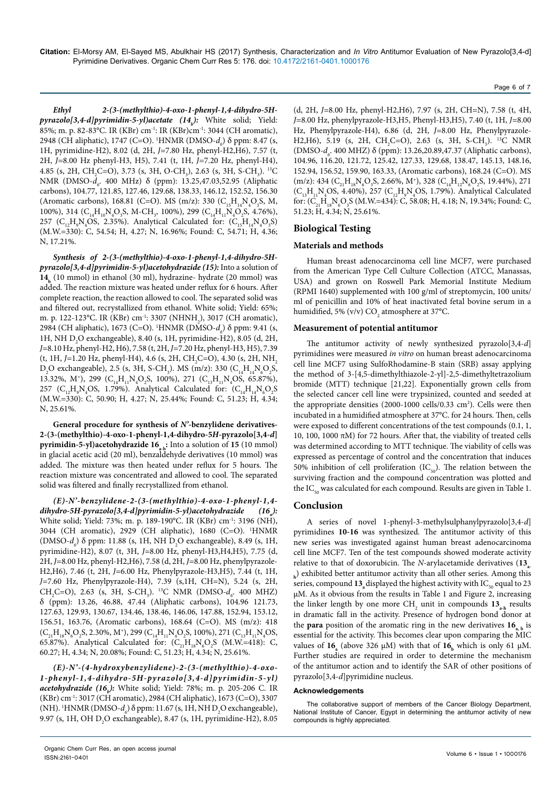#### Page 6 of 7

*Ethyl 2-(3-(methylthio)-4-oxo-1-phenyl-1,4-dihydro-5Hpyrazolo[3,4-d]pyrimidin-5-yl)acetate (14b ):* White solid; Yield: 85%; m. p. 82-83°C. IR (KBr) cm-1: IR (KBr)cm-1: 3044 (CH aromatic), 2948 (CH aliphatic), 1747 (C=O). <sup>1</sup>HNMR (DMSO-*d<sub>6</sub>*) δ ppm: 8.47 (s, 1H, pyrimidine-H2), 8.02 (d, 2H, *J=*7.80 Hz, phenyl-H2,H6), 7.57 (t, 2H, *J=*8.00 Hz phenyl-H3, H5), 7.41 (t, 1H, *J=*7.20 Hz, phenyl-H4), 4.85 (s, 2H, CH<sub>2</sub>C=O), 3.73 (s, 3H, O-CH<sub>3</sub>), 2.63 (s, 3H, S-CH<sub>3</sub>). <sup>13</sup>C NMR (DMSO*-d<sub>6</sub>*. 400 MHz) δ (ppm): 13.25,47.03,52.95 (Aliphatic carbons), 104.77, 121.85, 127.46, 129.68, 138.33, 146.12, 152.52, 156.30 (Aromatic carbons), 168.81 (C=O). MS (m/z): 330 ( $C_{15}H_{14}N_4O_3S$ , M, 100%), 314  $(C_{14}H_{10}N_4O_3S$ , M-CH<sub>3</sub>, 100%), 299  $(C_{14}H_{11}N_4O_2S$ , 4.76%), 257 ( $C_{12}H_{9}N_{4}OS$ , 2.35%). Analytical Calculated for:  $(C_{15}H_{14}N_{4}O_{3}S)$ (M.W.=330): C, 54.54; H, 4.27; N, 16.96%; Found: C, 54.71; H, 4.36; N, 17.21%.

*Synthesis of 2-(3-(methylthio)-4-oxo-1-phenyl-1,4-dihydro-5Hpyrazolo[3,4-d]pyrimidin-5-yl)acetohydrazide (15):* Into a solution of **14b** (10 mmol) in ethanol (30 ml), hydrazine- hydrate (20 mmol) was added. The reaction mixture was heated under reflux for 6 hours. After complete reaction, the reaction allowed to cool. The separated solid was and filtered out, recrystallized from ethanol. White solid; Yield: 65%; m. p. 122-123°C. IR (KBr) cm<sup>-1</sup>: 3307 (NHNH<sub>2</sub>), 3017 (CH aromatic), 2984 (CH aliphatic), 1673 (C=O). <sup>1</sup>HNMR (DMSO*-d<sub>6</sub>*) δ ppm: 9.41 (s, 1H, NH  $D_2O$  exchangeable), 8.40 (s, 1H, pyrimidine-H2), 8.05 (d, 2H, *J=*8.10 Hz, phenyl-H2, H6), 7.58 (t, 2H, *J=*7.20 Hz, phenyl-H3, H5), 7.39 (t, 1H, J=1.20 Hz, phenyl-H4), 4.6 (s, 2H, CH<sub>2</sub>C=O), 4.30 (s, 2H, NH<sub>2</sub>  $D_2O$  exchangeable), 2.5 (s, 3H, S-CH<sub>3</sub>). MS (m/z): 330 (C<sub>14</sub>H<sub>14</sub>N<sub>6</sub>O<sub>2</sub>S, 13.32%, M<sup>+</sup>), 299 ( $C_{14}H_{11}N_4O_2S$ , 100%), 271 ( $C_{13}H_{11}N_4OS$ , 65.87%), 257 ( $C_{12}H_{9}N_{4}OS$ , 1.79%). Analytical Calculated for:  $(C_{14}H_{14}N_{6}O_{2}S)$ (M.W.=330): C, 50.90; H, 4.27; N, 25.44%; Found: C, 51.23; H, 4.34; N, 25.61%.

**General procedure for synthesis of** *N'***-benzylidene derivatives-2-(3-(methylthio)-4-oxo-1-phenyl-1,4-dihydro-5***H***-pyrazolo[3,4-***d***] pyrimidin-5-yl)acetohydrazide 16<sub>a-b</sub>:** Into a solution of 15 (10 mmol) in glacial acetic acid (20 ml), benzaldehyde derivatives (10 mmol) was added. The mixture was then heated under reflux for 5 hours. The reaction mixture was concentrated and allowed to cool. The separated solid was filtered and finally recrystallized from ethanol.

*(E)-N'-benzylidene-2-(3-(methylthio)-4-oxo-1-phenyl-1,4 dihydro-5H-pyrazolo[3,4-d]pyrimidin-5-yl)acetohydrazide (16a ):* White solid; Yield: 73%; m. p. 189-190°C. IR (KBr) cm-1: 3196 (NH), 3044 (CH aromatic), 2929 (CH aliphatic), 1680 (C=O). 1 HNMR (DMSO-*d<sub>6</sub>*)</sub> δ ppm: 11.88 (s, 1H, NH D<sub>2</sub>O exchangeable), 8.49 (s, 1H, pyrimidine-H2), 8.07 (t, 3H, *J=*8.00 Hz, phenyl-H3,H4,H5), 7.75 (d, 2H, *J=*8.00 Hz, phenyl-H2,H6), 7.58 (d, 2H, *J=*8.00 Hz, phenylpyrazole-H2,H6), 7.46 (t, 2H, *J=*6.00 Hz, Phenylpyrazole-H3,H5), 7.44 (t, 1H, *J=*7.60 Hz, Phenylpyrazole-H4), 7.39 (s,1H, CH=N), 5.24 (s, 2H, CH<sub>2</sub>C=O), 2.63 (s, 3H, S-CH<sub>3</sub>). <sup>13</sup>C NMR (DMSO- $d<sub>6</sub>$ . 400 MHZ) δ (ppm): 13.26, 46.88, 47.44 (Aliphatic carbons), 104.96 121.73, 127.63, 129.93, 130.67, 134.46, 138.46, 146.06, 147.88, 152.94, 153.12, 156.51, 163.76, (Aromatic carbons), 168.64 (C=O). MS (m/z): 418  $(C_{21}H_{18}N_{6}O_{2}S, 2.30\%, M^{+}),$  299  $(C_{14}H_{11}N_{4}O_{2}S, 100\%),$  271  $(C_{13}H_{11}N_{4}OS,$ 65.87%). Analytical Calculated for:  $(C_{21}H_{18}N_{6}O_{2}S \text{ (M.W. = 418): C, }$ 60.27; H, 4.34; N, 20.08%; Found: C, 51.23; H, 4.34; N, 25.61%.

*(E)-N'-(4-hydroxybenzylidene)-2-(3-(methylthio)-4-oxo-1-phenyl-1,4-dihydro-5H-pyrazolo[3,4-d]pyrimidin-5-yl) acetohydrazide (16<sub>b</sub>):* White solid; Yield: 78%; m. p. 205-206 C. IR (KBr) cm-1: 3017 (CH aromatic), 2984 (CH aliphatic), 1673 (C=O), 3307 (NH). <sup>1</sup>HNMR (DMSO- $d_{\delta}$ )  $\delta$  ppm: 11.67 (s, 1H, NH D<sub>2</sub>O exchangeable), 9.97 (s, 1H, OH  $D_2O$  exchangeable), 8.47 (s, 1H, pyrimidine-H2), 8.05 (d, 2H, *J=*8.00 Hz, phenyl-H2,H6), 7.97 (s, 2H, CH=N), 7.58 (t, 4H, *J=*8.00 Hz, phenylpyrazole-H3,H5, Phenyl-H3,H5), 7.40 (t, 1H, *J=*8.00 Hz, Phenylpyrazole-H4), 6.86 (d, 2H, *J=*8.00 Hz, Phenylpyrazole-H2,H6), 5.19 (s, 2H, CH<sub>2</sub>C=O), 2.63 (s, 3H, S-CH<sub>3</sub>). <sup>13</sup>C NMR (DMSO-*d<sub>6</sub>*. 400 MHZ) δ (ppm): 13.26,20.89,47.37 (Aliphatic carbons), 104.96, 116.20, 121.72, 125.42, 127.33, 129.68, 138.47, 145.13, 148.16, 152.94, 156.52, 159.90, 163.33, (Aromatic carbons), 168.24 (C=O). MS (m/z): 434 ( $C_{21}H_{18}N_{6}O_{3}S$ , 2.66%, M<sup>+</sup>), 328 ( $C_{14}H_{12}N_{6}O_{2}S$ , 19.44%), 271  $(C_{13}H_{11}N_{4}OS, 4.40\%)$ , 257  $(C_{12}H_{9}N_{4}OS, 1.79\%)$ . Analytical Calculated for:  $(C_{21}H_{18}N_{6}O_{3}S(M.W.=434)$ : C, 58.08; H, 4.18; N, 19.34%; Found: C, 51.23; H, 4.34; N, 25.61%.

# **Biological Testing**

#### **Materials and methods**

Human breast adenocarcinoma cell line MCF7, were purchased from the American Type Cell Culture Collection (ATCC, Manassas, USA) and grown on Roswell Park Memorial Institute Medium (RPMI 1640) supplemented with 100 g/ml of streptomycin, 100 units/ ml of penicillin and 10% of heat inactivated fetal bovine serum in a humidified, 5% (v/v)  $\text{CO}_2$  atmosphere at 37°C.

#### **Measurement of potential antitumor**

The antitumor activity of newly synthesized pyrazolo[3,4-*d*] pyrimidines were measured *in vitro* on human breast adenocarcinoma cell line MCF7 using SulfoRhodamine-B stain (SRB) assay applying the method of 3-[4,5-dimethylthiazole-2-yl]-2,5-dimethyltetrazolium bromide (MTT) technique [21,22]. Exponentially grown cells from the selected cancer cell line were trypsinized, counted and seeded at the appropriate densities (2000-1000 cells/0.33 cm<sup>2</sup>). Cells were then incubated in a humidified atmosphere at 37°C. for 24 hours. Then, cells were exposed to different concentrations of the test compounds (0.1, 1, 10, 100, 1000 πM) for 72 hours. After that, the viability of treated cells was determined according to MTT technique. The viability of cells was expressed as percentage of control and the concentration that induces 50% inhibition of cell proliferation  $(IC_{50})$ . The relation between the surviving fraction and the compound concentration was plotted and the  $IC_{50}$  was calculated for each compound. Results are given in Table 1.

#### **Conclusion**

A series of novel 1-phenyl-3-methylsulphanylpyrazolo[3,4-*d*] pyrimidines **10-16** was synthesized. The antitumor activity of this new series was investigated against human breast adenocarcinoma cell line MCF7. Ten of the test compounds showed moderate activity relative to that of doxorubicin. The *N*-arylacetamide derivatives (13 **h** ) exhibited better antitumor activity than all other series. Among this series, compound  $13$ <sub>4</sub> displayed the highest activity with IC<sub>50</sub> equal to 23 µM. As it obvious from the results in Table 1 and Figure 2, increasing the linker length by one more CH<sub>2</sub> unit in compounds  $13_{a-h}$  results in dramatic fall in the activity. Presence of hydrogen bond donor at the **para** position of the aromatic ring in the new derivatives  $16$ , by essential for the activity. This becomes clear upon comparing the MIC values of  $16_a$  (above 326  $\mu$ M) with that of  $16_b$  which is only 61  $\mu$ M. Further studies are required in order to determine the mechanism of the antitumor action and to identify the SAR of other positions of pyrazolo[3,4-*d*]pyrimidine nucleus.

#### **Acknowledgements**

The collaborative support of members of the Cancer Biology Department, National Institute of Cancer, Egypt in determining the antitumor activity of new compounds is highly appreciated.